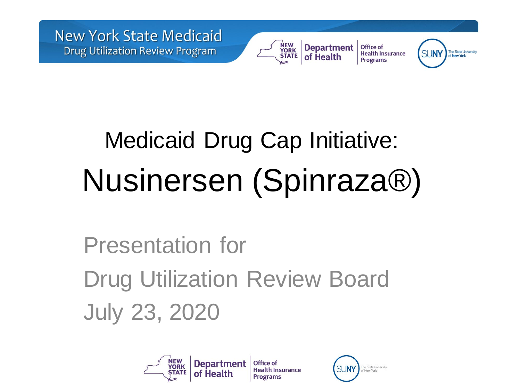



Office of **Department Health Insurance** of Health **Programs** 



# Medicaid Drug Cap Initiative: Nusinersen (Spinraza®)

Presentation for Drug Utilization Review Board July 23, 2020



Office of **Health Insurance Programs** 

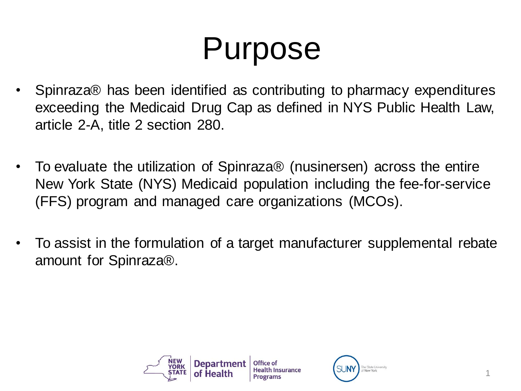# Purpose

- Spinraza® has been identified as contributing to pharmacy expenditures exceeding the Medicaid Drug Cap as defined in NYS Public Health Law, article 2-A, title 2 section 280.
- To evaluate the utilization of Spinraza® (nusinersen) across the entire New York State (NYS) Medicaid population including the fee-for-service (FFS) program and managed care organizations (MCOs).
- To assist in the formulation of a target manufacturer supplemental rebate amount for Spinraza®.



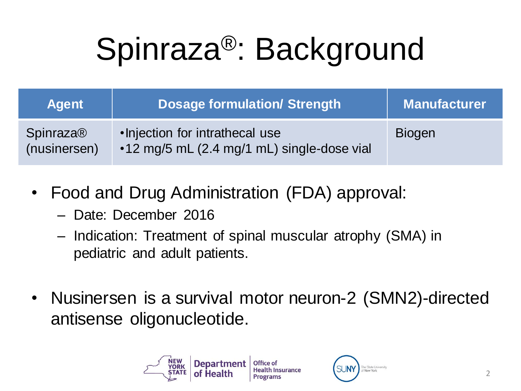# Spinraza®: Background

| <b>Agent</b>                     | <b>Dosage formulation/ Strength</b>                                           | <b>Manufacturer</b> |
|----------------------------------|-------------------------------------------------------------------------------|---------------------|
| <b>Spinraza®</b><br>(nusinersen) | . Injection for intrathecal use<br>•12 mg/5 mL (2.4 mg/1 mL) single-dose vial | <b>Biogen</b>       |

- Food and Drug Administration (FDA) approval:
	- Date: December 2016
	- Indication: Treatment of spinal muscular atrophy (SMA) in pediatric and adult patients.
- Nusinersen is a survival motor neuron-2 (SMN2)-directed antisense oligonucleotide.



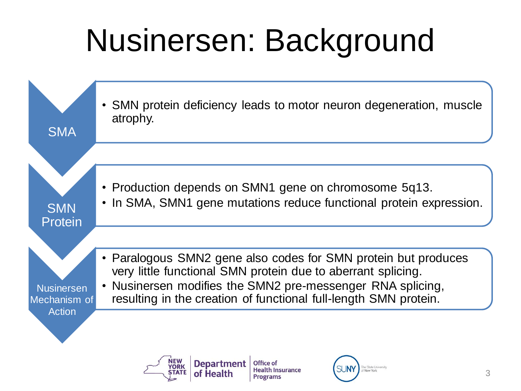# Nusinersen: Background



**Programs** 

of Health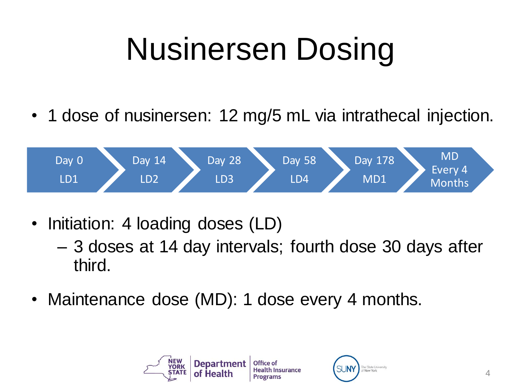# Nusinersen Dosing

• 1 dose of nusinersen: 12 mg/5 mL via intrathecal injection.



- Initiation: 4 loading doses (LD)
	- 3 doses at 14 day intervals; fourth dose 30 days after third.
- Maintenance dose (MD): 1 dose every 4 months.



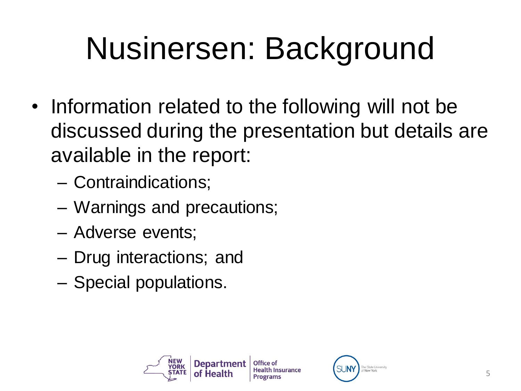# Nusinersen: Background

- Information related to the following will not be discussed during the presentation but details are available in the report:
	- Contraindications;
	- Warnings and precautions;
	- Adverse events;
	- Drug interactions; and
	- Special populations.



5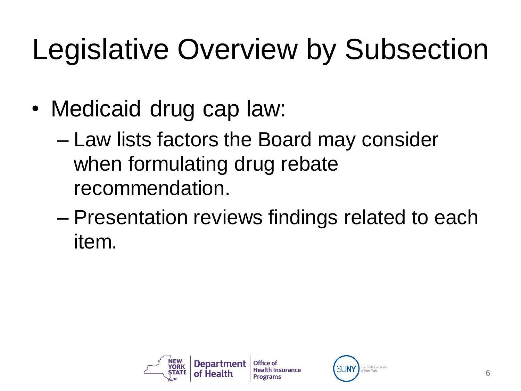# Legislative Overview by Subsection

- Medicaid drug cap law:
	- Law lists factors the Board may consider when formulating drug rebate recommendation.
	- Presentation reviews findings related to each item.



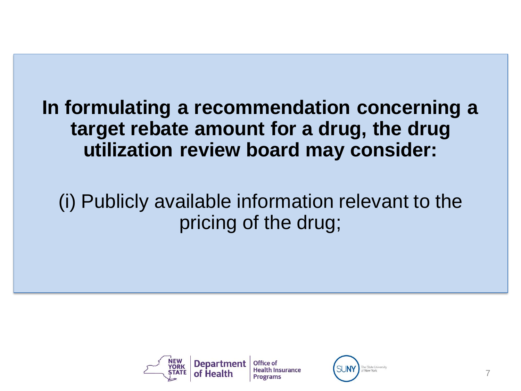(i) Publicly available information relevant to the pricing of the drug;



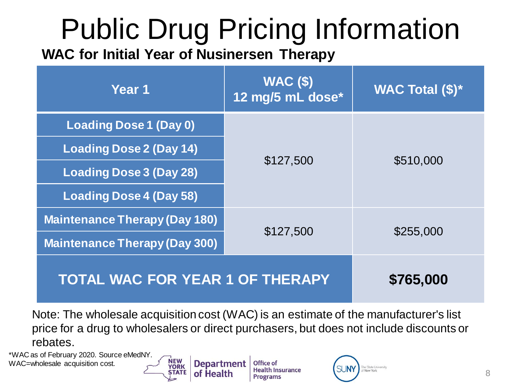# Public Drug Pricing Information

**WAC for Initial Year of Nusinersen Therapy**

**NEW** 

**YORK** 

STATE

of Health

| Year 1                                 | $WAC($ \$)<br>12 mg/5 mL dose* | <b>WAC Total (\$)*</b> |
|----------------------------------------|--------------------------------|------------------------|
| Loading Dose 1 (Day 0)                 |                                |                        |
| <b>Loading Dose 2 (Day 14)</b>         | \$127,500                      | \$510,000              |
| <b>Loading Dose 3 (Day 28)</b>         |                                |                        |
| <b>Loading Dose 4 (Day 58)</b>         |                                |                        |
| <b>Maintenance Therapy (Day 180)</b>   | \$127,500                      | \$255,000              |
| <b>Maintenance Therapy (Day 300)</b>   |                                |                        |
| <b>TOTAL WAC FOR YEAR 1 OF THERAPY</b> | \$765,000                      |                        |

Note: The wholesale acquisition cost (WAC) is an estimate of the manufacturer's list price for a drug to wholesalers or direct purchasers, but does not include discounts or rebates.

\*WAC as of February 2020. Source eMedNY. WAC=wholesale acquisition cost.

**Department Office of Health Insurance Programs** 

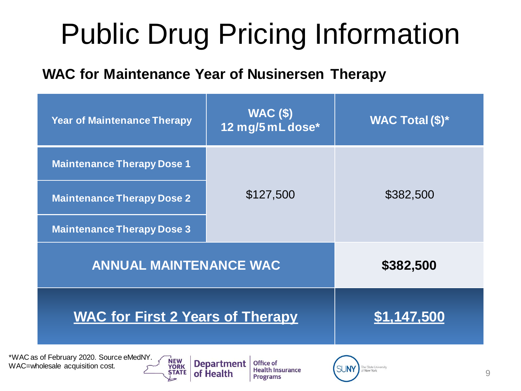# Public Drug Pricing Information

#### **WAC for Maintenance Year of Nusinersen Therapy**

| <b>Year of Maintenance Therapy</b>                | <b>WAC (\$)</b><br>12 mg/5 mL dose* | <b>WAC Total (\$)*</b> |  |
|---------------------------------------------------|-------------------------------------|------------------------|--|
| <b>Maintenance Therapy Dose 1</b>                 |                                     |                        |  |
| <b>Maintenance Therapy Dose 2</b>                 | \$127,500                           | \$382,500              |  |
| <b>Maintenance Therapy Dose 3</b>                 |                                     |                        |  |
| <b>ANNUAL MAINTENANCE WAC</b>                     |                                     | \$382,500              |  |
| <b>WAC for First 2 Years of Therapy</b>           | \$1,147,500                         |                        |  |
| as of February 2020. Source eMedNY.<br><b>NEW</b> | Donartmont Office of                |                        |  |

 $*WACa$ WAC=wholesale acquisition cost.



of Health

**Health Insurance Programs** 

![](_page_9_Picture_6.jpeg)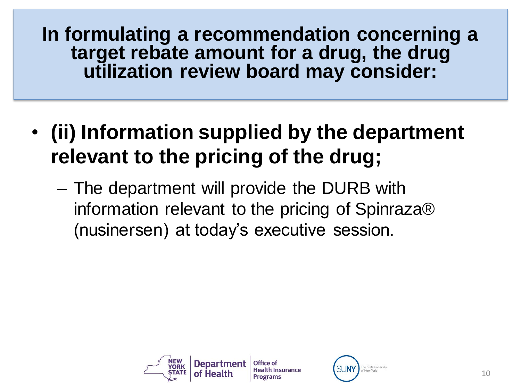- **(ii) Information supplied by the department relevant to the pricing of the drug;**
	- The department will provide the DURB with information relevant to the pricing of Spinraza® (nusinersen) at today's executive session.

![](_page_10_Picture_3.jpeg)

![](_page_10_Picture_4.jpeg)

![](_page_10_Picture_5.jpeg)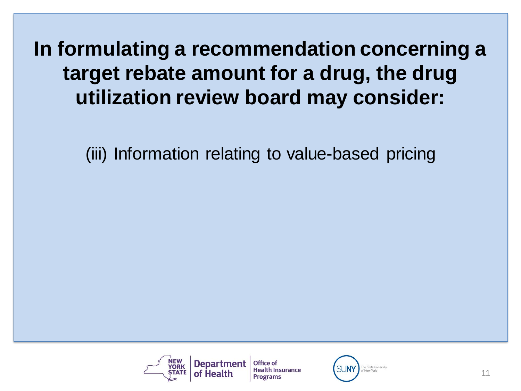(iii) Information relating to value-based pricing

![](_page_11_Picture_2.jpeg)

Office of **Health Insurance Programs** 

![](_page_11_Picture_4.jpeg)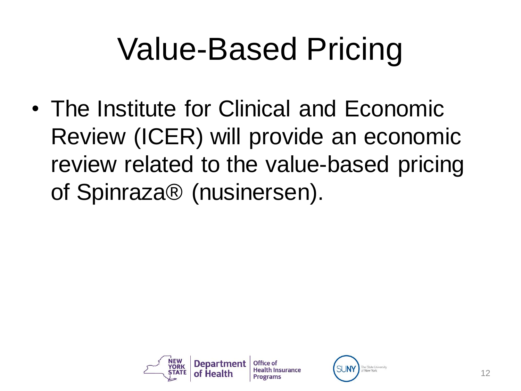# Value-Based Pricing

• The Institute for Clinical and Economic Review (ICER) will provide an economic review related to the value-based pricing of Spinraza® (nusinersen).

![](_page_12_Picture_2.jpeg)

![](_page_12_Picture_3.jpeg)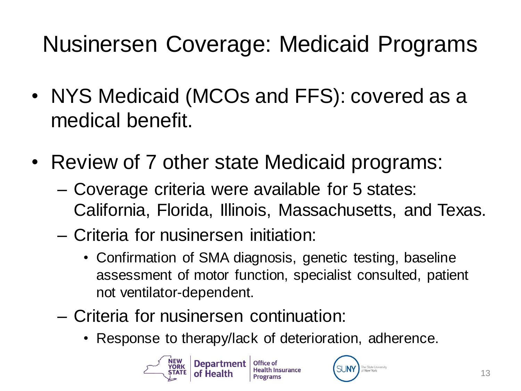## Nusinersen Coverage: Medicaid Programs

- NYS Medicaid (MCOs and FFS): covered as a medical benefit.
- Review of 7 other state Medicaid programs:
	- Coverage criteria were available for 5 states: California, Florida, Illinois, Massachusetts, and Texas.
	- Criteria for nusinersen initiation:
		- Confirmation of SMA diagnosis, genetic testing, baseline assessment of motor function, specialist consulted, patient not ventilator-dependent.
	- Criteria for nusinersen continuation:
		- Response to therapy/lack of deterioration, adherence.

![](_page_13_Picture_8.jpeg)

![](_page_13_Picture_10.jpeg)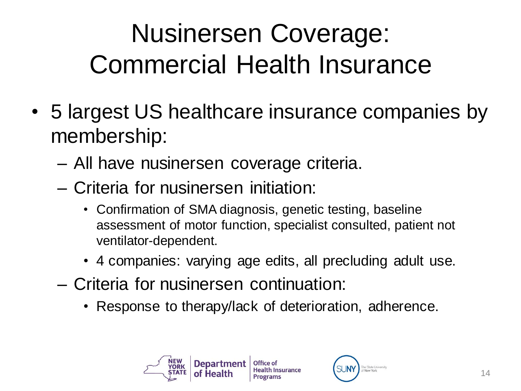## Nusinersen Coverage: Commercial Health Insurance

- 5 largest US healthcare insurance companies by membership:
	- All have nusinersen coverage criteria.
	- Criteria for nusinersen initiation:
		- Confirmation of SMA diagnosis, genetic testing, baseline assessment of motor function, specialist consulted, patient not ventilator-dependent.
		- 4 companies: varying age edits, all precluding adult use.
	- Criteria for nusinersen continuation:
		- Response to therapy/lack of deterioration, adherence.

![](_page_14_Picture_8.jpeg)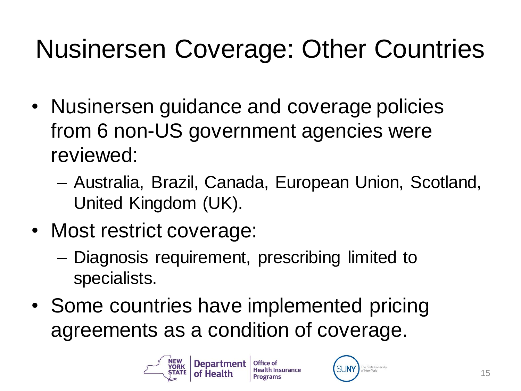## Nusinersen Coverage: Other Countries

- Nusinersen guidance and coverage policies from 6 non-US government agencies were reviewed:
	- Australia, Brazil, Canada, European Union, Scotland, United Kingdom (UK).
- Most restrict coverage:
	- Diagnosis requirement, prescribing limited to specialists.
- Some countries have implemented pricing agreements as a condition of coverage.

![](_page_15_Picture_6.jpeg)

![](_page_15_Picture_8.jpeg)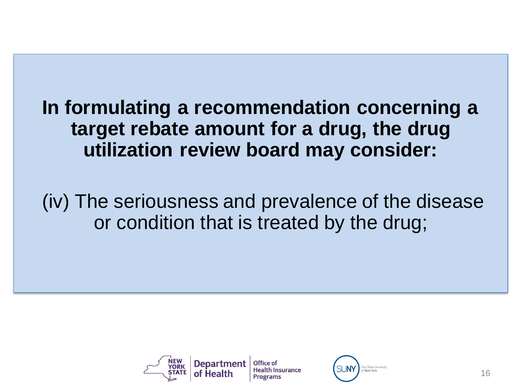(iv) The seriousness and prevalence of the disease or condition that is treated by the drug;

![](_page_16_Picture_2.jpeg)

![](_page_16_Picture_3.jpeg)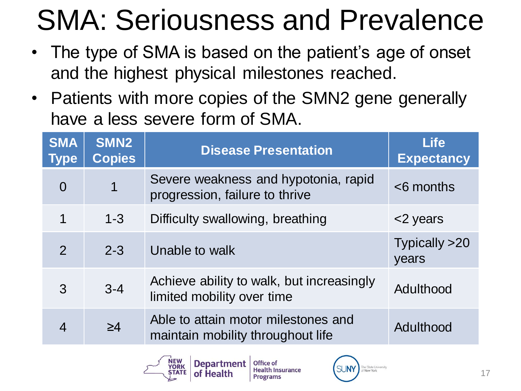# SMA: Seriousness and Prevalence

- The type of SMA is based on the patient's age of onset and the highest physical milestones reached.
- Patients with more copies of the SMN2 gene generally have a less severe form of SMA.

| <b>SMA</b><br><b>Type</b> | SMN <sub>2</sub><br><b>Copies</b> | <b>Disease Presentation</b>                                              | <b>Life</b><br><b>Expectancy</b> |
|---------------------------|-----------------------------------|--------------------------------------------------------------------------|----------------------------------|
| $\overline{0}$            | 1                                 | Severe weakness and hypotonia, rapid<br>progression, failure to thrive   | $<$ 6 months                     |
| 1                         | $1 - 3$                           | Difficulty swallowing, breathing                                         | <2 years                         |
| $\mathcal{P}$             | $2 - 3$                           | Unable to walk                                                           | Typically >20<br>years           |
| 3                         | $3 - 4$                           | Achieve ability to walk, but increasingly<br>limited mobility over time  | Adulthood                        |
| $\overline{4}$            | $\geq 4$                          | Able to attain motor milestones and<br>maintain mobility throughout life | Adulthood                        |

![](_page_17_Picture_4.jpeg)

![](_page_17_Picture_6.jpeg)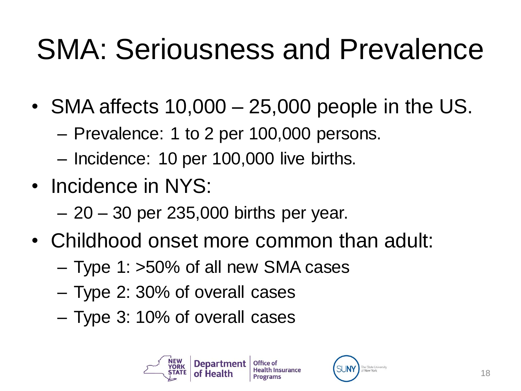## SMA: Seriousness and Prevalence

- SMA affects 10,000 25,000 people in the US.
	- Prevalence: 1 to 2 per 100,000 persons.
	- Incidence: 10 per 100,000 live births.
- Incidence in NYS:
	- 20 30 per 235,000 births per year.
- Childhood onset more common than adult:
	- Type 1: >50% of all new SMA cases
	- Type 2: 30% of overall cases
	- Type 3: 10% of overall cases

![](_page_18_Picture_10.jpeg)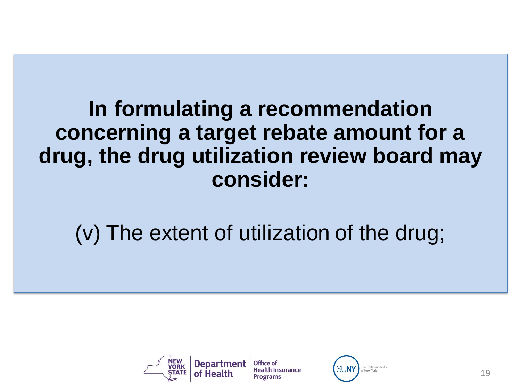### (v) The extent of utilization of the drug;

![](_page_19_Picture_2.jpeg)

![](_page_19_Picture_3.jpeg)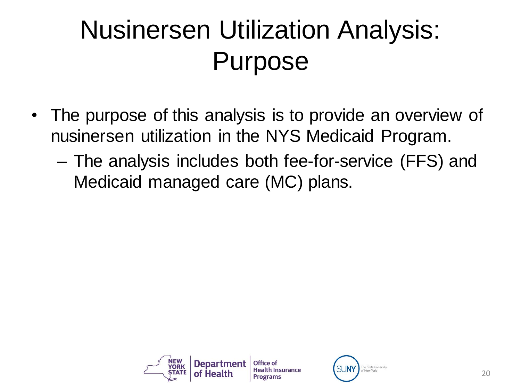## Nusinersen Utilization Analysis: Purpose

- The purpose of this analysis is to provide an overview of nusinersen utilization in the NYS Medicaid Program.
	- The analysis includes both fee-for-service (FFS) and Medicaid managed care (MC) plans.

![](_page_20_Picture_3.jpeg)

![](_page_20_Picture_4.jpeg)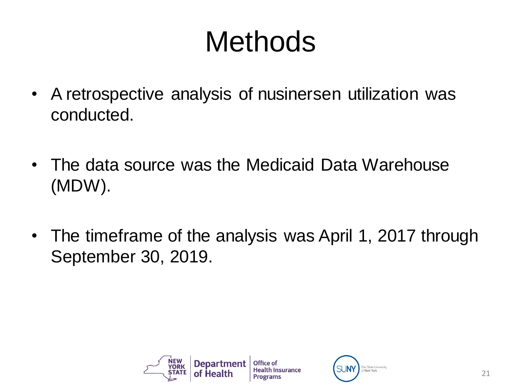## Methods

- A retrospective analysis of nusinersen utilization was conducted.
- The data source was the Medicaid Data Warehouse (MDW).
- The timeframe of the analysis was April 1, 2017 through September 30, 2019.

![](_page_21_Picture_4.jpeg)

![](_page_21_Picture_5.jpeg)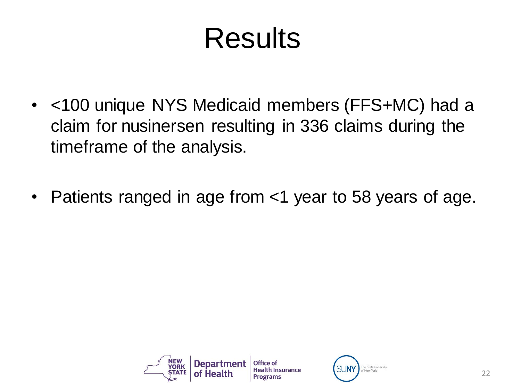## Results

- <100 unique NYS Medicaid members (FFS+MC) had a claim for nusinersen resulting in 336 claims during the timeframe of the analysis.
- Patients ranged in age from <1 year to 58 years of age.

![](_page_22_Picture_3.jpeg)

![](_page_22_Picture_4.jpeg)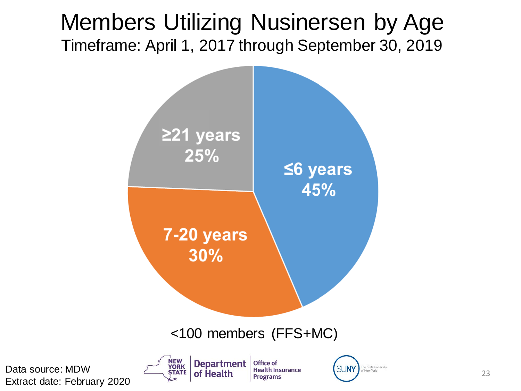#### Members Utilizing Nusinersen by Age Timeframe: April 1, 2017 through September 30, 2019

![](_page_23_Figure_1.jpeg)

Data source: MDW Extract date: February 2020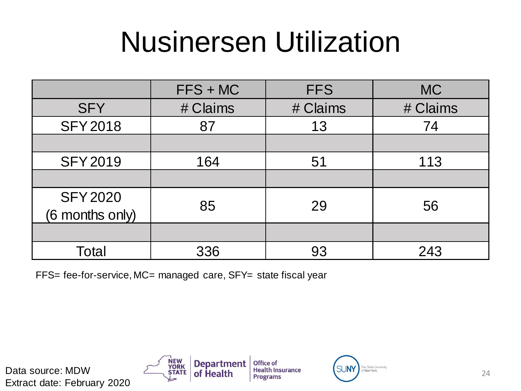## Nusinersen Utilization

|                                    | $FFS + MC$ | <b>FFS</b> | <b>MC</b> |
|------------------------------------|------------|------------|-----------|
| <b>SFY</b>                         | # Claims   | # Claims   | # Claims  |
| <b>SFY2018</b>                     | 87         | 13         | 74        |
|                                    |            |            |           |
| <b>SFY2019</b>                     | 164        | 51         | 113       |
|                                    |            |            |           |
| <b>SFY 2020</b><br>(6 months only) | 85         | 29         | 56        |
|                                    |            |            |           |
| Total                              | 336        | 93         | 243       |

FFS= fee-for-service, MC= managed care, SFY= state fiscal year

Extract date: February 2020

![](_page_24_Picture_4.jpeg)

![](_page_24_Picture_5.jpeg)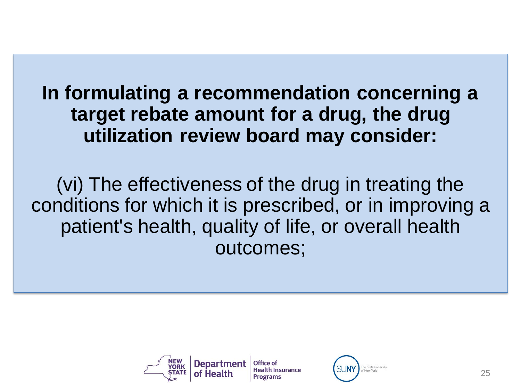(vi) The effectiveness of the drug in treating the conditions for which it is prescribed, or in improving a patient's health, quality of life, or overall health outcomes;

![](_page_25_Picture_2.jpeg)

![](_page_25_Picture_4.jpeg)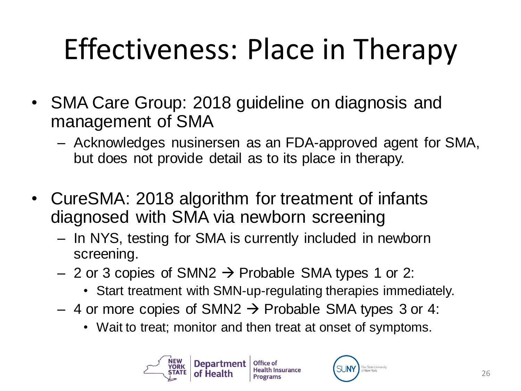# Effectiveness: Place in Therapy

- SMA Care Group: 2018 guideline on diagnosis and management of SMA
	- Acknowledges nusinersen as an FDA-approved agent for SMA, but does not provide detail as to its place in therapy.
- CureSMA: 2018 algorithm for treatment of infants diagnosed with SMA via newborn screening
	- In NYS, testing for SMA is currently included in newborn screening.
	- 2 or 3 copies of SMN2  $\rightarrow$  Probable SMA types 1 or 2:
		- Start treatment with SMN-up-regulating therapies immediately.
	- 4 or more copies of SMN2  $\rightarrow$  Probable SMA types 3 or 4:
		- Wait to treat; monitor and then treat at onset of symptoms.

![](_page_26_Picture_9.jpeg)

![](_page_26_Picture_10.jpeg)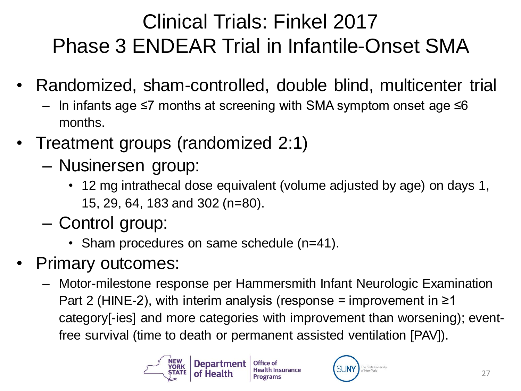### Clinical Trials: Finkel 2017 Phase 3 ENDEAR Trial in Infantile-Onset SMA

- Randomized, sham-controlled, double blind, multicenter trial
	- In infants age ≤7 months at screening with SMA symptom onset age ≤6 months.
- Treatment groups (randomized 2:1)
	- Nusinersen group:
		- 12 mg intrathecal dose equivalent (volume adjusted by age) on days 1, 15, 29, 64, 183 and 302 (n=80).
	- Control group:
		- Sham procedures on same schedule (n=41).
- Primary outcomes:
	- Motor-milestone response per Hammersmith Infant Neurologic Examination Part 2 (HINE-2), with interim analysis (response = improvement in  $\geq 1$ category[-ies] and more categories with improvement than worsening); eventfree survival (time to death or permanent assisted ventilation [PAV]).

![](_page_27_Picture_10.jpeg)

![](_page_27_Picture_12.jpeg)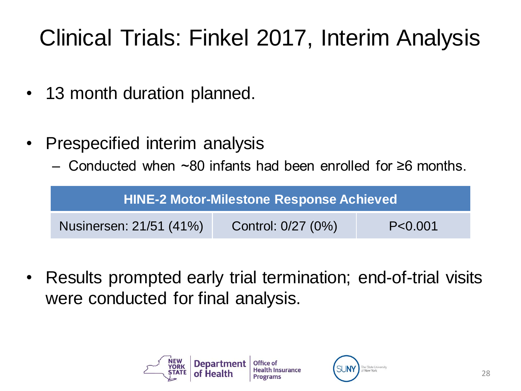## Clinical Trials: Finkel 2017, Interim Analysis

- 13 month duration planned.
- Prespecified interim analysis
	- Conducted when ~80 infants had been enrolled for ≥6 months.

| <b>HINE-2 Motor-Milestone Response Achieved</b>            |  |  |  |
|------------------------------------------------------------|--|--|--|
| Nusinersen: 21/51 (41%)<br>Control: 0/27 (0%)<br>P < 0.001 |  |  |  |

• Results prompted early trial termination; end-of-trial visits were conducted for final analysis.

![](_page_28_Picture_6.jpeg)

![](_page_28_Picture_7.jpeg)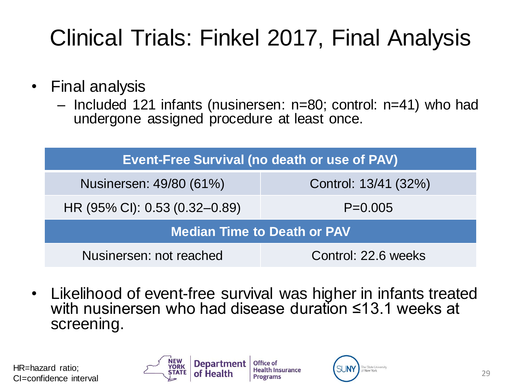## Clinical Trials: Finkel 2017, Final Analysis

- Final analysis
	- Included 121 infants (nusinersen: n=80; control: n=41) who had undergone assigned procedure at least once.

| Event-Free Survival (no death or use of PAV)    |  |  |  |  |
|-------------------------------------------------|--|--|--|--|
| Nusinersen: 49/80 (61%)<br>Control: 13/41 (32%) |  |  |  |  |
| HR (95% CI): 0.53 (0.32–0.89)<br>$P=0.005$      |  |  |  |  |
| <b>Median Time to Death or PAV</b>              |  |  |  |  |
| Nusinersen: not reached<br>Control: 22.6 weeks  |  |  |  |  |

• Likelihood of event-free survival was higher in infants treated with nusinersen who had disease duration ≤13.1 weeks at screening.

HR=hazard ratio; CI=confidence interval

![](_page_29_Picture_6.jpeg)

Office of **Health Insurance Programs** 

![](_page_29_Picture_8.jpeg)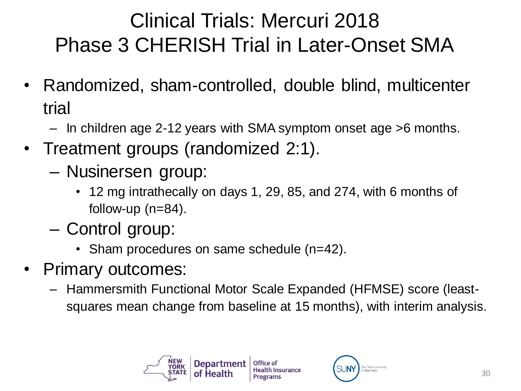### Clinical Trials: Mercuri 2018 Phase 3 CHERISH Trial in Later-Onset SMA

- Randomized, sham-controlled, double blind, multicenter trial
	- In children age 2-12 years with SMA symptom onset age >6 months.
- Treatment groups (randomized 2:1).
	- Nusinersen group:
		- 12 mg intrathecally on days 1, 29, 85, and 274, with 6 months of follow-up  $(n=84)$ .
	- Control group:
		- Sham procedures on same schedule (n=42).
- Primary outcomes:
	- Hammersmith Functional Motor Scale Expanded (HFMSE) score (leastsquares mean change from baseline at 15 months), with interim analysis.

![](_page_30_Picture_10.jpeg)

![](_page_30_Picture_11.jpeg)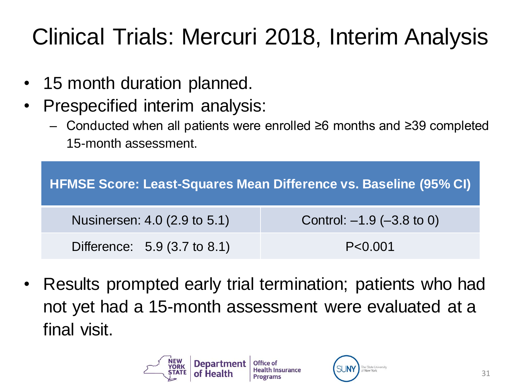## Clinical Trials: Mercuri 2018, Interim Analysis

- 15 month duration planned.
- Prespecified interim analysis:
	- Conducted when all patients were enrolled ≥6 months and ≥39 completed 15-month assessment.

| HFMSE Score: Least-Squares Mean Difference vs. Baseline (95% CI) |                                |  |  |
|------------------------------------------------------------------|--------------------------------|--|--|
| Nusinersen: 4.0 (2.9 to 5.1)                                     | Control: $-1.9$ ( $-3.8$ to 0) |  |  |
| Difference: 5.9 (3.7 to 8.1)                                     | P < 0.001                      |  |  |

• Results prompted early trial termination; patients who had not yet had a 15-month assessment were evaluated at a final visit.

![](_page_31_Picture_6.jpeg)

![](_page_31_Picture_7.jpeg)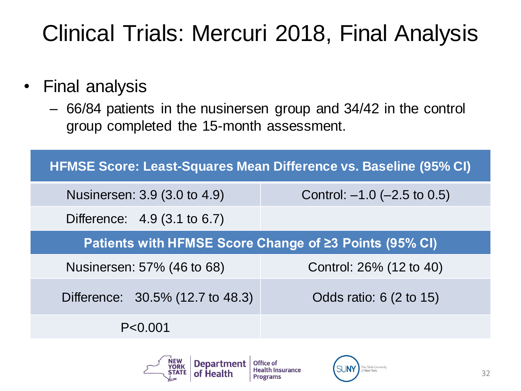### Clinical Trials: Mercuri 2018, Final Analysis

#### • Final analysis

– 66/84 patients in the nusinersen group and 34/42 in the control group completed the 15-month assessment.

| HFMSE Score: Least-Squares Mean Difference vs. Baseline (95% CI) |                                                        |  |  |  |
|------------------------------------------------------------------|--------------------------------------------------------|--|--|--|
| Nusinersen: 3.9 (3.0 to 4.9)                                     | Control: $-1.0$ ( $-2.5$ to 0.5)                       |  |  |  |
| Difference: 4.9 (3.1 to 6.7)                                     |                                                        |  |  |  |
|                                                                  | Patients with HFMSE Score Change of ≥3 Points (95% CI) |  |  |  |
| Control: 26% (12 to 40)<br>Nusinersen: 57% (46 to 68)            |                                                        |  |  |  |
| Difference: 30.5% (12.7 to 48.3)                                 | Odds ratio: 6 (2 to 15)                                |  |  |  |
| P < 0.001                                                        |                                                        |  |  |  |

![](_page_32_Picture_4.jpeg)

Office of **Health Insurance Programs** 

![](_page_32_Picture_6.jpeg)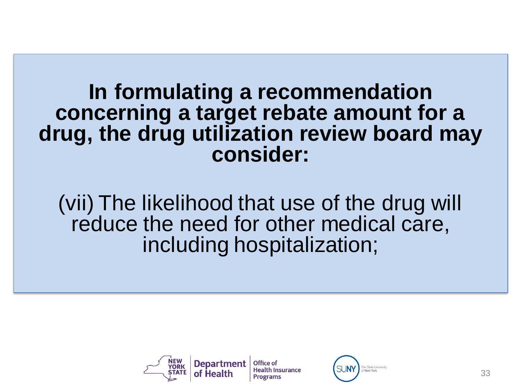(vii) The likelihood that use of the drug will reduce the need for other medical care, including hospitalization;

![](_page_33_Picture_2.jpeg)

**Health Insurance Programs** 

![](_page_33_Picture_4.jpeg)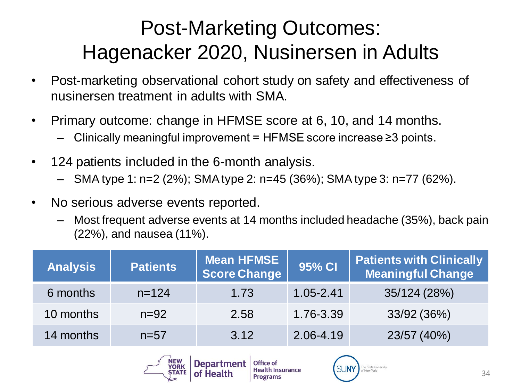### Post-Marketing Outcomes: Hagenacker 2020, Nusinersen in Adults

- Post-marketing observational cohort study on safety and effectiveness of nusinersen treatment in adults with SMA.
- Primary outcome: change in HFMSE score at 6, 10, and 14 months.
	- Clinically meaningful improvement =  $HFMSE$  score increase  $\geq 3$  points.
- 124 patients included in the 6-month analysis.
	- SMA type 1: n=2 (2%); SMA type 2: n=45 (36%); SMA type 3: n=77 (62%).
- No serious adverse events reported.
	- Most frequent adverse events at 14 months included headache (35%), back pain (22%), and nausea (11%).

| <b>Analysis</b> | <b>Patients</b> | <b>Mean HFMSE</b><br>Score Change | 95% CI        | <b>Patients with Clinically</b><br>Meaningful Change |
|-----------------|-----------------|-----------------------------------|---------------|------------------------------------------------------|
| 6 months        | $n = 124$       | 1.73                              | $1.05 - 2.41$ | 35/124 (28%)                                         |
| 10 months       | $n = 92$        | 2.58                              | 1.76-3.39     | 33/92 (36%)                                          |
| 14 months       | $n=57$          | 3.12                              | 2.06-4.19     | 23/57 (40%)                                          |

![](_page_34_Picture_9.jpeg)

**Programs** 

![](_page_34_Picture_11.jpeg)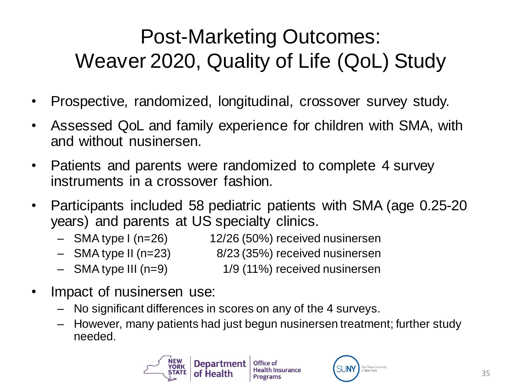### Post-Marketing Outcomes: Weaver 2020, Quality of Life (QoL) Study

- Prospective, randomized, longitudinal, crossover survey study.
- Assessed QoL and family experience for children with SMA, with and without nusinersen.
- Patients and parents were randomized to complete 4 survey instruments in a crossover fashion.
- Participants included 58 pediatric patients with SMA (age 0.25-20 years) and parents at US specialty clinics.
	- SMA type I (n=26) 12/26 (50%) received nusinersen
	- SMA type II (n=23) 8/23 (35%) received nusinersen
	- SMA type III (n=9) 1/9 (11%) received nusinersen
- Impact of nusinersen use:
	- No significant differences in scores on any of the 4 surveys.
	- However, many patients had just begun nusinersen treatment; further study needed.

![](_page_35_Picture_11.jpeg)

![](_page_35_Picture_12.jpeg)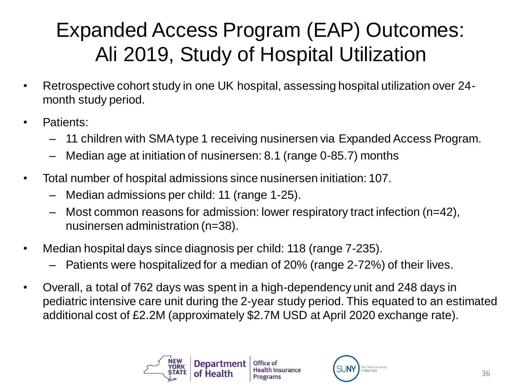### Expanded Access Program (EAP) Outcomes: Ali 2019, Study of Hospital Utilization

- Retrospective cohort study in one UK hospital, assessing hospital utilization over 24 month study period.
- Patients:
	- 11 children with SMA type 1 receiving nusinersen via Expanded Access Program.
	- Median age at initiation of nusinersen: 8.1 (range 0-85.7) months
- Total number of hospital admissions since nusinersen initiation: 107.
	- Median admissions per child: 11 (range 1-25).
	- Most common reasons for admission: lower respiratory tract infection (n=42), nusinersen administration (n=38).
- Median hospital days since diagnosis per child: 118 (range 7-235).
	- Patients were hospitalized for a median of 20% (range 2-72%) of their lives.
- Overall, a total of 762 days was spent in a high-dependency unit and 248 days in pediatric intensive care unit during the 2-year study period. This equated to an estimated additional cost of £2.2M (approximately \$2.7M USD at April 2020 exchange rate).

![](_page_36_Picture_11.jpeg)

![](_page_36_Picture_12.jpeg)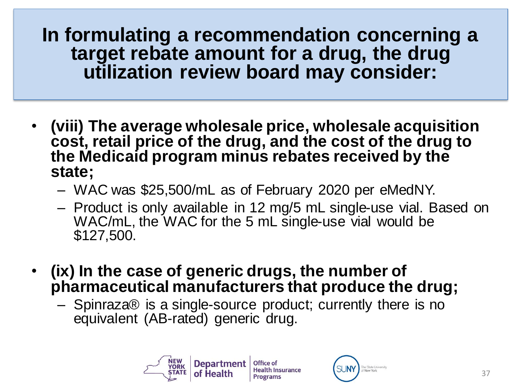- **(viii) The average wholesale price, wholesale acquisition cost, retail price of the drug, and the cost of the drug to the Medicaid program minus rebates received by the state;**
	- WAC was \$25,500/mL as of February 2020 per eMedNY.
	- Product is only available in 12 mg/5 mL single-use vial. Based on WAC/mL, the WAC for the 5 mL single-use vial would be \$127,500.
- **(ix) In the case of generic drugs, the number of pharmaceutical manufacturers that produce the drug;**
	- Spinraza® is a single-source product; currently there is no equivalent (AB-rated) generic drug.

![](_page_37_Picture_6.jpeg)

**Health Insurance** 

![](_page_37_Picture_8.jpeg)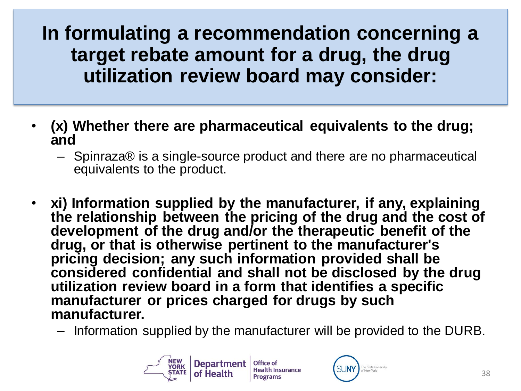- **(x) Whether there are pharmaceutical equivalents to the drug; and**
	- Spinraza® is a single-source product and there are no pharmaceutical equivalents to the product.
- **xi) Information supplied by the manufacturer, if any, explaining the relationship between the pricing of the drug and the cost of development of the drug and/or the therapeutic benefit of the drug, or that is otherwise pertinent to the manufacturer's pricing decision; any such information provided shall be considered confidential and shall not be disclosed by the drug utilization review board in a form that identifies a specific manufacturer or prices charged for drugs by such manufacturer.**
	- Information supplied by the manufacturer will be provided to the DURB.

![](_page_38_Picture_5.jpeg)

![](_page_38_Picture_6.jpeg)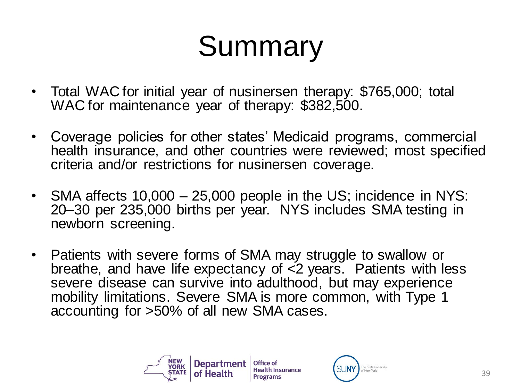## Summary

- Total WAC for initial year of nusinersen therapy: \$765,000; total WAC for maintenance year of therapy: \$382,500.
- Coverage policies for other states' Medicaid programs, commercial health insurance, and other countries were reviewed; most specified criteria and/or restrictions for nusinersen coverage.
- SMA affects 10,000 25,000 people in the US; incidence in NYS: 20–30 per 235,000 births per year. NYS includes SMA testing in newborn screening.
- Patients with severe forms of SMA may struggle to swallow or breathe, and have life expectancy of  $\leq 2$  years. Patients with less severe disease can survive into adulthood, but may experience mobility limitations. Severe SMA is more common, with Type 1 accounting for >50% of all new SMA cases.

![](_page_39_Picture_5.jpeg)

![](_page_39_Picture_6.jpeg)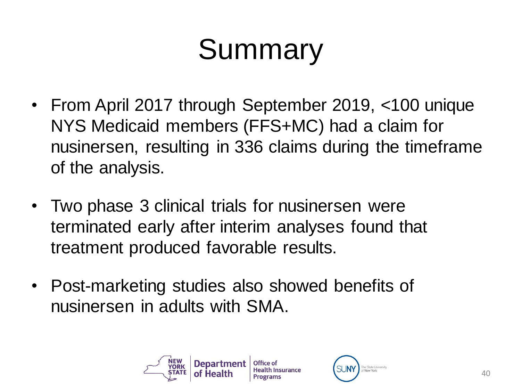# Summary

- From April 2017 through September 2019, <100 unique NYS Medicaid members (FFS+MC) had a claim for nusinersen, resulting in 336 claims during the timeframe of the analysis.
- Two phase 3 clinical trials for nusinersen were terminated early after interim analyses found that treatment produced favorable results.
- Post-marketing studies also showed benefits of nusinersen in adults with SMA.

![](_page_40_Picture_4.jpeg)

![](_page_40_Picture_5.jpeg)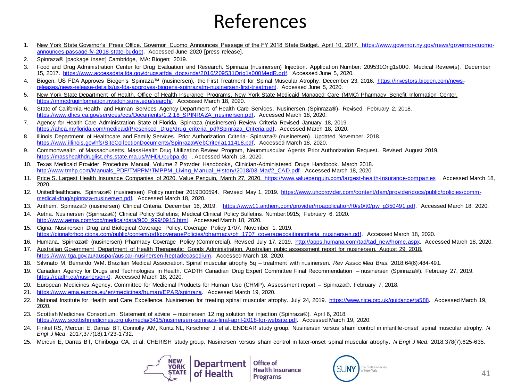#### References

- 1. [New York State Governor's Press Office. Governor Cuomo Announces Passage of the FY 2018 State Budget. April 10, 2017. https://www.governor.ny.gov/news/governor-cuomo](https://www.governor.ny.gov/news/governor-cuomo-announces-passage-fy-2018-state-budget)announces-passage-fy-2018-state-budget. Accessed June 2020 [press release].
- 2. Spinraza® [package insert] Cambridge, MA: Biogen; 2019.
- 3. Food and Drug Administration Center for Drug Evaluation and Research. Spinraza (nusinersen) Injection. Application Number: 209531Orig1s000. Medical Review(s). December 15, 2017. [https://www.accessdata.fda.gov/drugsatfda\\_docs/nda/2016/209531Orig1s000MedR.pdf.](https://www.accessdata.fda.gov/drugsatfda_docs/nda/2016/209531Orig1s000MedR.pdf) Accessed June 5, 2020.
- 4. Biogen. US FDA Approves Biogen's Spinraza™ (nusinersen), the First Treatment for Spinal Muscular Atrophy. December 23, 2016. https://investors.biogen.com/news[releases/news-release-details/us-fda-approves-biogens-spinrazatm-nusinersen-first-treatment. Accessed June 5, 2020.](https://investors.biogen.com/news-releases/news-release-details/us-fda-approves-biogens-spinrazatm-nusinersen-first-treatment)
- 5. New York State Department of Health, Office of Health Insurance Programs. New York State Medicaid Managed Care (MMC) Pharmacy Benefit Information Center. [https://mmcdruginformation.nysdoh.suny.edu/search/.](https://mmcdruginformation.nysdoh.suny.edu/search/) Accessed March 18, 2020.
- 6. State of California-Health and Human Services Agency Department of Health Care Services, Nusinersen (Spinraza®)- Revised. February 2, 2018. [https://www.dhcs.ca.gov/services/ccs/Documents/1.2.18\\_SPINRAZA\\_nusinersen.pdf.](https://www.dhcs.ca.gov/services/ccs/Documents/1.2.18_SPINRAZA_nusinersen.pdf) Accessed March 18, 2020.
- 7. Agency for Health Care Administration State of Florida, Spinraza (nusinersen) Review Criteria Revised January 18, 2019. [https://ahca.myflorida.com/medicaid/Prescribed\\_Drug/drug\\_criteria\\_pdf/Spinraza\\_Criteria.pdf.](https://ahca.myflorida.com/medicaid/Prescribed_Drug/drug_criteria_pdf/Spinraza_Criteria.pdf) Accessed March 18, 2020.
- 8. Illinois Department of Healthcare and Family Services. Prior Authorization Criteria- Spinraza® (nusinersen). Updated November 2018. [https://www.illinois.gov/hfs/SiteCollectionDocuments/SpinrazaWebCriteria111418.pdf.](https://www.illinois.gov/hfs/SiteCollectionDocuments/SpinrazaWebCriteria111418.pdf) Accessed March 18, 2020.
- 9. Commonwealth of Massachusetts, MassHealth Drug Utilization Review Program, Neuromuscular Agents Prior Authorization Request. Revised August 2019. <https://masshealthdruglist.ehs.state.ma.us/MHDL/pubpa.do> . Accessed March 18, 2020.
- 10. Texas Medicaid Provider Procedure Manual, Volume 2 Provider Handbooks, Clinician-Administered Drugs Handbook. March 2018. [http://www.tmhp.com/Manuals\\_PDF/TMPPM/TMPPM\\_Living\\_Manual\\_History/2018/03-Mar/2\\_CAD.pdf.](http://www.tmhp.com/Manuals_PDF/TMPPM/TMPPM_Living_Manual_History/2018/03-Mar/2_CAD.pdf) Accessed March 18, 2020.
- 11. Price S. Largest Health Insurance Companies of 2020. Value Penguin, March 27, 2020. <https://www.valuepenguin.com/largest-health-insurance-companies> . Accessed March 18, 2020.
- 12. [UnitedHealthcare. Spinraza® \(nusinersen\) Policy number 2019D00594. Revised May 1, 2019. https://www.uhcprovider.com/content/dam/provider/docs/public/policies/comm](https://www.uhcprovider.com/content/dam/provider/docs/public/policies/comm-medical-drug/spinraza-nusinersen.pdf)medical-drug/spinraza-nusinersen.pdf. Accessed March 18, 2020.
- 13. Anthem. Spinraza® (nusinersen) Clinical Criteria. December 16, 2019. [https://www11.anthem.com/provider/noapplication/f0/s0/t0/pw\\_g350491.pdf.](https://www11.anthem.com/provider/noapplication/f0/s0/t0/pw_g350491.pdf) Accessed March 18, 2020.
- 14. Aetna. Nusinersen (Spinraza®) Clinical Policy Bulletins; Medical Clinical Policy Bulletins. Number:0915; February 6, 2020. [http://www.aetna.com/cpb/medical/data/900\\_999/0915.html.](http://www.aetna.com/cpb/medical/data/900_999/0915.html) Accessed March 18, 2020.
- 15. Cigna. Nusinersen Drug and Biological Coverage Policy. Coverage Policy 1707. November 1, 2019. [https://cignaforhcp.cigna.com/public/content/pdf/coveragePolicies/pharmacy/ph\\_1707\\_coveragepositioncriteria\\_nusinersen.pdf.](https://cignaforhcp.cigna.com/public/content/pdf/coveragePolicies/pharmacy/ph_1707_coveragepositioncriteria_nusinersen.pdf) Accessed March 18, 2020.
- 16. Humana. Spinraza® (nusinersen) Pharmacy Coverage Policy (Commercial). Revised July 17, 2019. [http://apps.humana.com/tad/tad\\_new/home.aspx](http://apps.humana.com/tad/tad_new/home.aspx). Accessed March 18, 2020.
- 17. Australian Government Department of Health Therapeutic Goods Administration. Australian pubic assessment report for nusinersen. August 29, 2018. [https://www.tga.gov.au/auspar/auspar-nusinersen-heptadecasodium.](https://www.tga.gov.au/auspar/auspar-nusinersen-heptadecasodium) Accessed March 18, 2020.
- 18. Silvinato M, Bernardo WM. Brazilian Medical Association. Spinal muscular atrophy 5q treatment with nusinersen. *Rev Assoc Med Bras.* 2018;64(6):484-491.
- 19. Canadian Agency for Drugs and Technologies in Health. CADTH Canadian Drug Expert Committee Final Recommendation nusinersen (Spinraza®). February 27, 2019. [https://cadth.ca/nusinersen-0.](https://cadth.ca/nusinersen-0) Accessed March 18, 2020.
- 20. European Medicines Agency. Committee for Medicinal Products for Human Use (CHMP). Assessment report Spinraza®. February 7, 2018.
- 21. <https://www.ema.europa.eu/en/medicines/human/EPAR/spinraza>. Accessed March 19, 2020.
- 22. National Institute for Health and Care Excellence. Nusinersen for treating spinal muscular atrophy. July 24, 2019. [https://www.nice.org.uk/guidance/ta588.](https://www.nice.org.uk/guidance/ta588) Accessed March 19, 2020.
- 23. Scottish Medicines Consortium. Statement of advice nusinersen 12 mg solution for injection (Spinraza®). April 6, 2018. [https://www.scottishmedicines.org.uk/media/3415/nusinersen-spinraza-final-april-2018-for-website.pdf.](https://www.scottishmedicines.org.uk/media/3415/nusinersen-spinraza-final-april-2018-for-website.pdf) Accessed March 19, 2020.
- 24. Finkel RS, Mercuri E, Darras BT, Connolly AM, Kuntz NL, Kirschner J, et al. ENDEAR study group. Nusinersen versus sham control in infantile-onset spinal muscular atrophy. *N Engl J Med*. 2017;377(18):1723-1732.
- 25. Mercuri E, Darras BT, Chiriboga CA, et al. CHERISH study group. Nusinersen versus sham control in later-onset spinal muscular atrophy. *N Engl J Med*. 2018;378(7):625-635.

![](_page_41_Picture_26.jpeg)

**Health Insurance Programs** 

![](_page_41_Picture_28.jpeg)